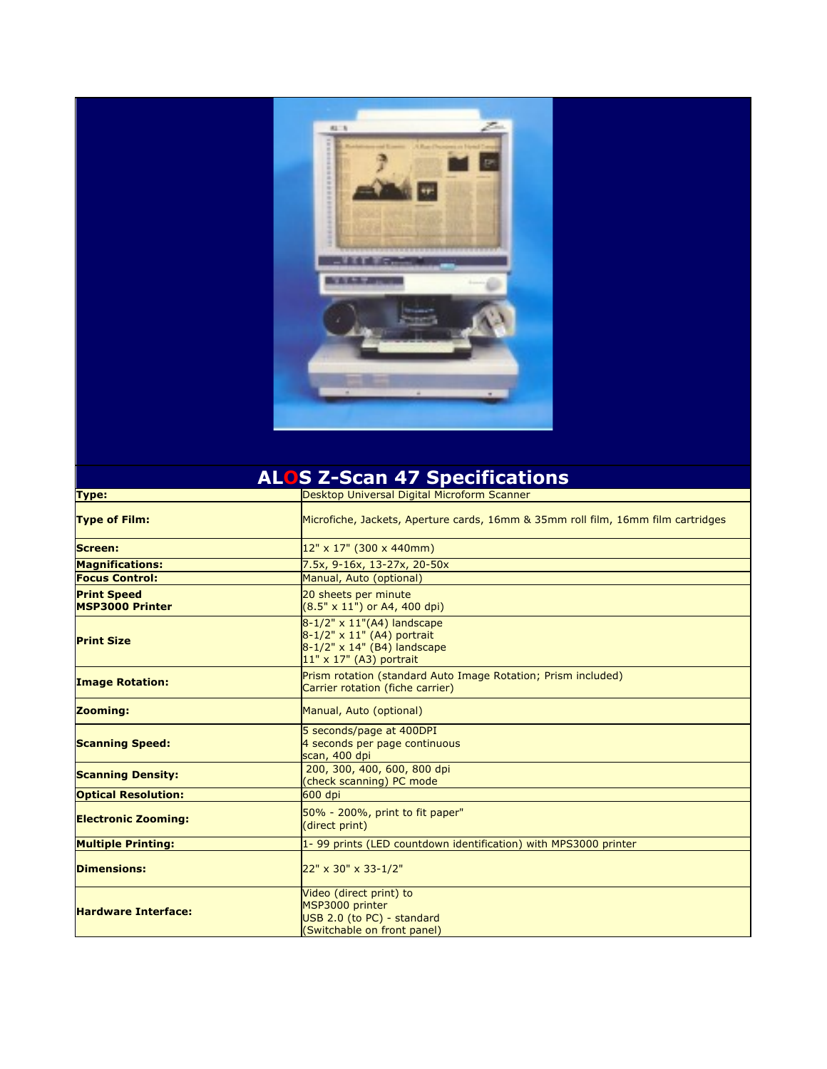

| <b>ALOS Z-Scan 47 Specifications</b>         |                                                                                                                        |
|----------------------------------------------|------------------------------------------------------------------------------------------------------------------------|
| <b>Type:</b>                                 | Desktop Universal Digital Microform Scanner                                                                            |
| <b>Type of Film:</b>                         | Microfiche, Jackets, Aperture cards, 16mm & 35mm roll film, 16mm film cartridges                                       |
| Screen:                                      | 12" x 17" (300 x 440mm)                                                                                                |
| <b>Magnifications:</b>                       | 7.5x, 9-16x, 13-27x, 20-50x                                                                                            |
| <b>Focus Control:</b>                        | Manual, Auto (optional)                                                                                                |
| <b>Print Speed</b><br><b>MSP3000 Printer</b> | 20 sheets per minute<br>$(8.5" \times 11")$ or A4, 400 dpi)                                                            |
| <b>Print Size</b>                            | 8-1/2" x 11"(A4) landscape<br>8-1/2" x 11" (A4) portrait<br>8-1/2" x 14" (B4) landscape<br>$11"$ x $17"$ (A3) portrait |
| <b>Image Rotation:</b>                       | Prism rotation (standard Auto Image Rotation; Prism included)<br>Carrier rotation (fiche carrier)                      |
| <b>Zooming:</b>                              | Manual, Auto (optional)                                                                                                |
| <b>Scanning Speed:</b>                       | 5 seconds/page at 400DPI<br>4 seconds per page continuous<br>scan, 400 dpi                                             |
| <b>Scanning Density:</b>                     | 200, 300, 400, 600, 800 dpi<br>(check scanning) PC mode                                                                |
| <b>Optical Resolution:</b>                   | 600 dpi                                                                                                                |
| <b>Electronic Zooming:</b>                   | 50% - 200%, print to fit paper"<br>(direct print)                                                                      |
| <b>Multiple Printing:</b>                    | 1- 99 prints (LED countdown identification) with MPS3000 printer                                                       |
| <b>Dimensions:</b>                           | 22" x 30" x 33-1/2"                                                                                                    |
| <b>Hardware Interface:</b>                   | Video (direct print) to<br>MSP3000 printer<br>USB 2.0 (to PC) - standard<br>(Switchable on front panel)                |